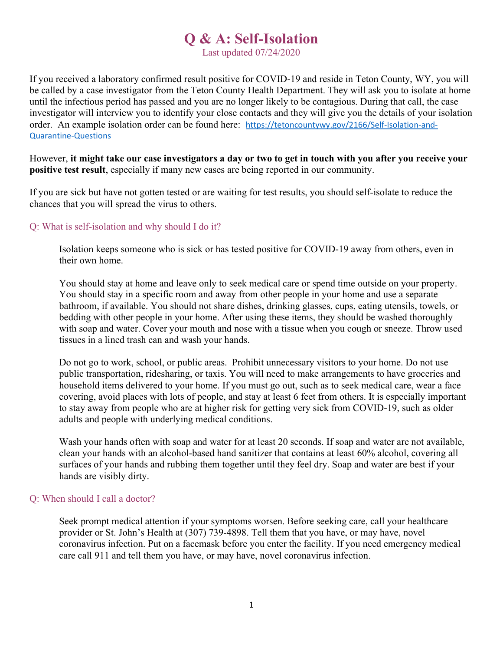# Q & A: Self-Isolation

Last updated 07/24/2020

If you received a laboratory confirmed result positive for COVID-19 and reside in Teton County, WY, you will be called by a case investigator from the Teton County Health Department. They will ask you to isolate at home until the infectious period has passed and you are no longer likely to be contagious. During that call, the case investigator will interview you to identify your close contacts and they will give you the details of your isolation order. An example isolation order can be found here: https://tetoncountywy.gov/2166/Self-Isolation-and-Quarantine-Questions

However, it might take our case investigators a day or two to get in touch with you after you receive your positive test result, especially if many new cases are being reported in our community.

If you are sick but have not gotten tested or are waiting for test results, you should self-isolate to reduce the chances that you will spread the virus to others.

## Q: What is self-isolation and why should I do it?

Isolation keeps someone who is sick or has tested positive for COVID-19 away from others, even in their own home.

You should stay at home and leave only to seek medical care or spend time outside on your property. You should stay in a specific room and away from other people in your home and use a separate bathroom, if available. You should not share dishes, drinking glasses, cups, eating utensils, towels, or bedding with other people in your home. After using these items, they should be washed thoroughly with soap and water. Cover your mouth and nose with a tissue when you cough or sneeze. Throw used tissues in a lined trash can and wash your hands.

Do not go to work, school, or public areas. Prohibit unnecessary visitors to your home. Do not use public transportation, ridesharing, or taxis. You will need to make arrangements to have groceries and household items delivered to your home. If you must go out, such as to seek medical care, wear a face covering, avoid places with lots of people, and stay at least 6 feet from others. It is especially important to stay away from people who are at higher risk for getting very sick from COVID-19, such as older adults and people with underlying medical conditions.

Wash your hands often with soap and water for at least 20 seconds. If soap and water are not available, clean your hands with an alcohol-based hand sanitizer that contains at least 60% alcohol, covering all surfaces of your hands and rubbing them together until they feel dry. Soap and water are best if your hands are visibly dirty.

#### Q: When should I call a doctor?

Seek prompt medical attention if your symptoms worsen. Before seeking care, call your healthcare provider or St. John's Health at (307) 739-4898. Tell them that you have, or may have, novel coronavirus infection. Put on a facemask before you enter the facility. If you need emergency medical care call 911 and tell them you have, or may have, novel coronavirus infection.